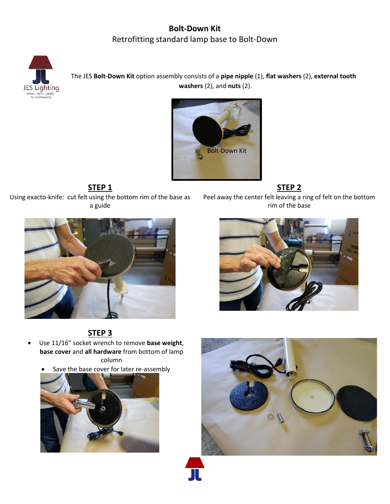## **Bolt-Down Kit** Retrofitting standard lamp base to Bolt-Down



The JES **Bolt-Down Kit** option assembly consists of a **pipe nipple** (1), **flat washers** (2), **external tooth washers** (2), and **nuts** (2).



**STEP 1 STEP 2** Using exacto-knife: cut felt using the bottom rim of the base as a guide

Peel away the center felt leaving a ring of felt on the bottom rim of the base





# **STEP 3**

- Use 11/16" socket wrench to remove **base weight**, **base cover** and **all hardware** from bottom of lamp column
	- Save the base cover for later re-assembly



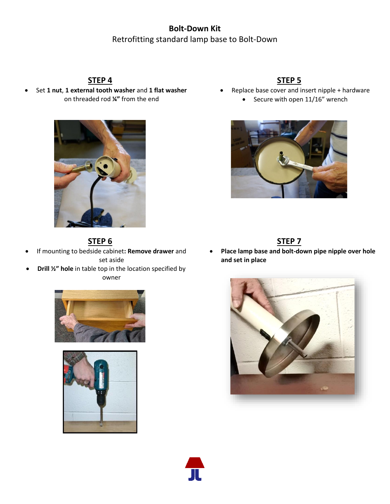## **Bolt-Down Kit** Retrofitting standard lamp base to Bolt-Down

• Set **1 nut**, **1 external tooth washer** and **1 flat washer** on threaded rod **¼"** from the end



### **STEP 4 STEP 5**

- Replace base cover and insert nipple + hardware
	- Secure with open 11/16" wrench



• **Place lamp base and bolt-down pipe nipple over hole and set in place**



## **STEP 6 STEP 7**

- If mounting to bedside cabinet**: Remove drawer** and set aside
- **Drill ½" hole** in table top in the location specified by owner